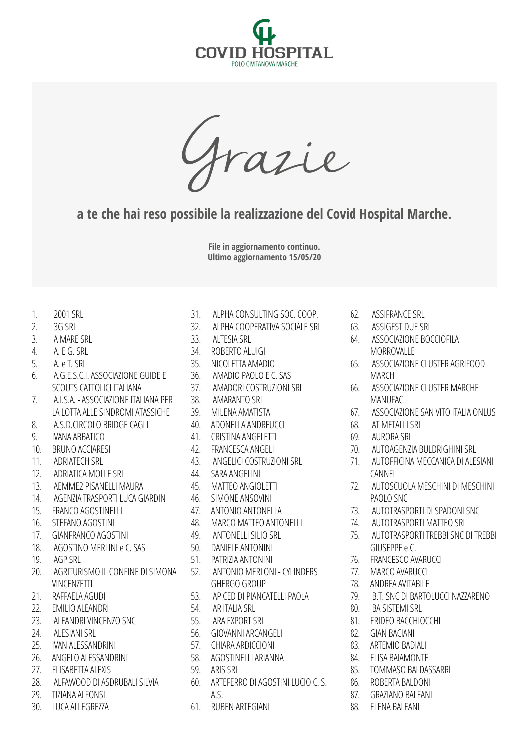

Grazie

**a te che hai reso possibile la realizzazione del Covid Hospital Marche.** 

**File in aggiornamento continuo. Ultimo aggiornamento 15/05/20**

- 1. 2001 SRL
- $2^{\frac{3}{2}}$
- 3. A MARE SRL
- 4. A. E G. SRL
- 5. A. e T. SRL
- 6. A.G.E.S.C.I. ASSOCIAZIONE GUIDE E SCOUTS CATTOLICI ITALIANA
- 7. A.I.S.A. ASSOCIAZIONE ITALIANA PER LA LOTTA ALLE SINDROMI ATASSICHE
- 8. A.S.D.CIRCOLO BRIDGE CAGLI
- 9. IVANA ABBATICO
- 10. BRUNO ACCIARESI
- 11. ADRIATECH SRL
- 12 ADRIATICA MOLLE SRL
- 13. AEMME2 PISANELLI MAURA
- 14. AGENZIA TRASPORTI LUCA GIARDIN
- 15. FRANCO AGOSTINELLI
- 16. STEFANO AGOSTINI
- 17. GIANFRANCO AGOSTINI
- 18. AGOSTINO MERLINI e C. SAS
- 19. AGP SRL
- 20. AGRITURISMO IL CONFINE DI SIMONA VINCENZETTI
- 21. RAFFAELA AGUDI
- 22. EMILIO ALEANDRI
- 23. ALEANDRI VINCENZO SNC
- 24. ALESIANI SRL
- 25. IVAN ALESSANDRINI
- 26. ANGELO ALESSANDRINI
- 27. ELISABETTA ALEXIS
- 28. ALFAWOOD DI ASDRUBALI SILVIA
- 29. TIZIANA ALFONSI
- 30. LUCA ALLEGREZZA
- 31. ALPHA CONSULTING SOC. COOP.
- 32. ALPHA COOPERATIVA SOCIALE SRL
- 33. ALTESIA SRL
- 34. ROBERTO ALUIGI
- 35. NICOLETTA AMADIO
- 36. AMADIO PAOLO E C. SAS
- 37. AMADORI COSTRUZIONI SRL
- 38. AMARANTO SRL
- 39. MILENA AMATISTA
- 40. ADONELLA ANDREUCCI
- 41. CRISTINA ANGELETTI
- 42. FRANCESCA ANGELI
- 43. ANGELICI COSTRUZIONI SRL
- 44. SARA ANGELINI
- 45. MATTEO ANGIOLETTI
- 46. SIMONE ANSOVINI
- 47. ANTONIO ANTONELLA
- 48. MARCO MATTEO ANTONELLI
- 49. ANTONELLI SILIO SRL
- 50. DANIELE ANTONINI
- 51. PATRIZIA ANTONINI
- 52. ANTONIO MERLONI CYLINDERS GHERGO GROUP
- 53. AP CED DI PIANCATELLI PAOLA
- 54. AR ITALIA SRL
- 55. ARA EXPORT SRL
- 56. GIOVANNI ARCANGELI
- 57. CHIARA ARDICCIONI
- 58. AGOSTINELLI ARIANNA
- 59. ARIS SRL
- 60. ARTEFERRO DI AGOSTINI LUCIO C. S. A.S.
- 61. RUBEN ARTEGIANI
- 62. ASSIFRANCE SRL
- 63. ASSIGEST DUE SRL
- 64. ASSOCIAZIONE BOCCIOFILA MORROVALLE
- 65. ASSOCIAZIONE CLUSTER AGRIFOOD **MARCH**
- 66. ASSOCIAZIONE CLUSTER MARCHE **MANUFAC**
- 67. ASSOCIAZIONE SAN VITO ITALIA ONLUS
- 68. AT METALLI SRL
- 69. AURORA SRL
- 70. AUTOAGENZIA BULDRIGHINI SRL
- 71. AUTOFFICINA MECCANICA DI ALESIANI **CANNEL**
- 72. AUTOSCUOLA MESCHINI DI MESCHINI PAOLO SNC
- 73. AUTOTRASPORTI DI SPADONI SNC
- 74. AUTOTRASPORTI MATTEO SRL
- 75. AUTOTRASPORTI TREBBI SNC DI TREBBI GIUSEPPE e C.
- 76. FRANCESCO AVARUCCI
- 77. MARCO AVARUCCI
- 78. ANDREA AVITABILE
- 79. B.T. SNC DI BARTOLUCCI NAZZARENO
- 80. BA SISTEMI SRL
- 81. ERIDEO BACCHIOCCHI
- 82. GIAN BACIANI
- 83. ARTEMIO BADIALI
- 84. ELISA BAIAMONTE
- 85. TOMMASO BALDASSARRI
- 86. ROBERTA BALDONI
- 87. GRAZIANO BALEANI
- 88. ELENA BALEANI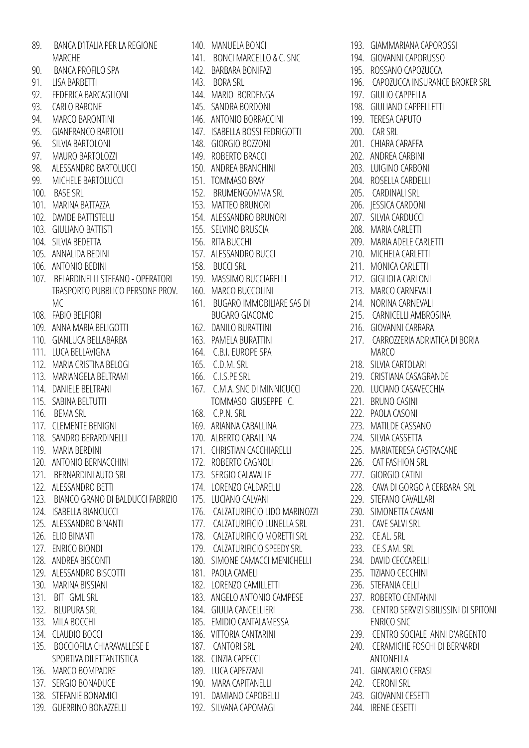|      | 89. BANCA D'ITALIA PER LA REGIONE      |
|------|----------------------------------------|
|      | <b>MARCHE</b>                          |
| 90.  | BANCA PROFILO SPA                      |
| 91.  | LISA BARBETTI                          |
| 92.  | FEDERICA BARCAGLIONI                   |
| 93.  | <b>CARLO BARONE</b>                    |
| 94.  | MARCO BARONTINI                        |
|      | 95. GIANFRANCO BARTOLI                 |
| 96.  | SILVIA BARTOLONI                       |
| 97.  | MAURO BARTOLOZZI                       |
| 98.  | ALESSANDRO BARTOLUCCI                  |
|      | 99. MICHELE BARTOLUCCI                 |
|      | 100. BASE SRL                          |
|      | 101. MARINA BATTAZZA                   |
|      | 102. DAVIDE BATTISTELLI                |
|      | 103. GIULIANO BATTISTI                 |
| 104. | SILVIA BEDETTA                         |
| 105. | ANNALIDA BEDINI                        |
|      | 106. ANTONIO BEDINI                    |
|      | 107. BELARDINELLI STEFANO - OPERATORI  |
|      | TRASPORTO PUBBLICO PERSONE PROV.       |
|      | MC.                                    |
|      | 108. FABIO BELFIORI                    |
| 109. | ANNA MARIA BELIGOTTI                   |
|      | 110. GIANLUCA BELLABARBA               |
|      | 111. LUCA BELLAVIGNA                   |
| 112. | MARIA CRISTINA BELOGI                  |
| 113. | MARIANGELA BELTRAMI                    |
|      | 114. DANIELE BELTRANI                  |
|      | 115. SABINA BELTUTTI                   |
|      | 116. BEMA SRL                          |
|      | 117. CLEMENTE BENIGNI                  |
| 118. | SANDRO BERARDINELLI                    |
|      | 119. MARIA BERDINI                     |
| 120. | ANTONIO BERNACCHINI                    |
|      | 121. BERNARDINI AUTO SRL               |
|      | 122. ALESSANDRO BETTI                  |
|      | 123. BIANCO GRANO DI BALDUCCI FABRIZIO |
|      | 124. ISABELLA BIANCUCCI                |
| 125. | ALESSANDRO BINANTI                     |
| 126. | ELIO BINANTI                           |
|      | 127. ENRICO BIONDI                     |
|      | 128. ANDREA BISCONTI                   |
| 129. | ALESSANDRO BISCOTTI                    |
|      | 130. MARINA BISSIANI                   |
|      | 131. BIT GML SRL                       |
|      | 132. BLUPURA SRL                       |
|      | 133. MILA BOCCHI                       |
|      | 134. CLAUDIO BOCCI                     |
|      | 135. BOCCIOFILA CHIARAVALLESE E        |
|      | SPORTIVA DILETTANTISTICA               |
|      | 136. MARCO BOMPADRE                    |
|      | 137. SERGIO BONADUCE                   |
|      | 138. STEFANIE BONAMICI                 |

139. GUERRINO BONAZZELLI

140. MANUELA BONCI 141. BONCI MARCELLO & C. SNC 142. BARBARA BONIFAZI 143. BORA SRL 144. MARIO BORDENGA 145. SANDRA BORDONI 146. ANTONIO BORRACCINI 147. ISABELLA BOSSI FEDRIGOTTI 148. GIORGIO BOZZONI 149. ROBERTO BRACCI 150. ANDREA BRANCHINI 151. TOMMASO BRAY 152. BRUMENGOMMA SRL 153. MATTEO BRUNORI 154. ALESSANDRO BRUNORI 155. SELVINO BRUSCIA 156. RITA BUCCHI 157. ALESSANDRO BUCCI 158. BUCCI SRL 159. MASSIMO BUCCIARELLI 160. MARCO BUCCOLINI 161. BUGARO IMMOBILIARE SAS DI BUGARO GIACOMO 162. DANILO BURATTINI 163. PAMELA BURATTINI 164. C.B.I. EUROPE SPA 165. C.D.M. SRL 166. C.I.S.PE SRL 167. C.M.A. SNC DI MINNICUCCI TOMMASO GIUSEPPE C. 168. C.P.N. SRL 169. ARIANNA CABALLINA 170. ALBERTO CABALLINA 171. CHRISTIAN CACCHIARELLI 172. ROBERTO CAGNOLI 173. SERGIO CALAVALLE 174. LORENZO CALDARELLI 175. LUCIANO CALVANI 176. CALZATURIFICIO LIDO MARINOZZI 177. CALZATURIFICIO LUNELLA SRL 173. LOCIANO CALVANI<br>176. CALZATURIFICIO LIDO MARINOZZI 230. SIMONETTA CAVANI<br>177. CALZATURIFICIO LUNELLA SRL 231. CAVE SALVI SRL<br>178. CALZATURIFICIO MORETTI SRL 232. CE.AL. SRL 179. CALZATURIFICIO SPEEDY SRL 180. SIMONE CAMACCI MENICHELLI 181. PAOLA CAMELI 182. LORENZO CAMILLETTI 183. ANGELO ANTONIO CAMPESE 184. GIULIA CANCELLIERI 185. EMIDIO CANTALAMESSA 186. VITTORIA CANTARINI 187. CANTORI SRL 188. CINZIA CAPECCI 189. LUCA CAPEZZANI 190. MARA CAPITANELLI 191. DAMIANO CAPOBELLI 192. SILVANA CAPOMAGI

193. GIAMMARIANA CAPOROSSI 194. GIOVANNI CAPORUSSO 195. ROSSANO CAPOZUCCA 196. CAPOZUCCA INSURANCE BROKER SRL 197. GIULIO CAPPELLA 198. GIULIANO CAPPELLETTI 199. TERESA CAPUTO 200. CAR SRL 201. CHIARA CARAFFA 202. ANDREA CARBINI 203. LUIGINO CARBONI 204. ROSELLA CARDELLI 205. CARDINALI SRL 206. JESSICA CARDONI 207. SILVIA CARDUCCI 208. MARIA CARLETTI 209. MARIA ADELE CARLETTI 210. MICHELA CARLETTI 211. MONICA CARLETTI 212. GIGLIOLA CARLONI 213. MARCO CARNEVALI 214. NORINA CARNEVALI 215. CARNICELLI AMBROSINA 216. GIOVANNI CARRARA 217. CARROZZERIA ADRIATICA DI BORIA MARCO 218. SILVIA CARTOLARI 219. CRISTIANA CASAGRANDE 220. LUCIANO CASAVECCHIA 221. BRUNO CASINI 222. PAOLA CASONI 223. MATILDE CASSANO 224. SILVIA CASSETTA 225. MARIATERESA CASTRACANE 226. CAT FASHION SRL 227. GIORGIO CATINI 228. CAVA DI GORGO A CERBARA SRL 229. STEFANO CAVALLARI 230. SIMONETTA CAVANI 231. CAVE SALVI SRL 232. CE.AL. SRL 233. CE.S.AM. SRL 234. DAVID CECCARELLI 235. TIZIANO CECCHINI 236. STEFANIA CELLI 237. ROBERTO CENTANNI 238. CENTRO SERVIZI SIBILISSINI DI SPITONI ENRICO SNC 239. CENTRO SOCIALE ANNI D'ARGENTO 240. CERAMICHE FOSCHI DI BERNARDI ANTONELLA 241. GIANCARLO CERASI 242. CERONI SRL 243. GIOVANNI CESETTI

244. IRENE CESETTI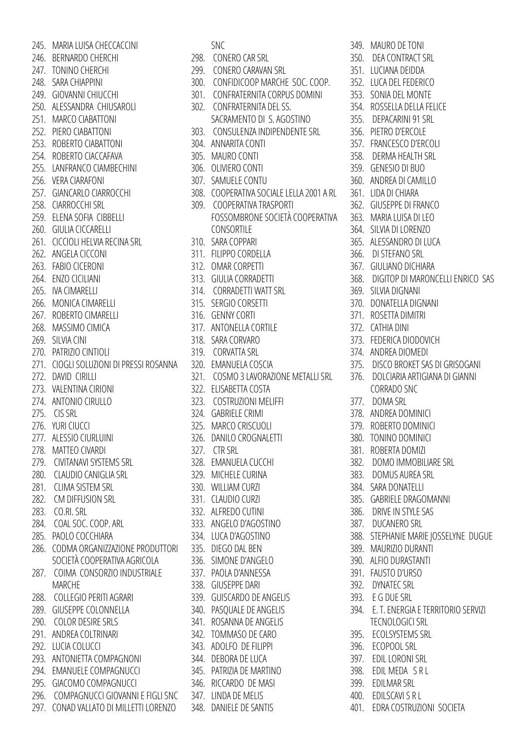245. MARIA LUISA CHECCACCINI 246. BERNARDO CHERCHI 247. TONINO CHERCHI 248. SARA CHIAPPINI 249. GIOVANNI CHIUCCHI 250. ALESSANDRA CHIUSAROLI 251. MARCO CIABATTONI 252. PIERO CIABATTONI 253. ROBERTO CIABATTONI 254. ROBERTO CIACCAFAVA 255. LANFRANCO CIAMBECHINI 256. VERA CIARAFONI 257. GIANCARLO CIARROCCHI 258. CIARROCCHI SRL 259. ELENA SOFIA CIBBELLI 260. GIULIA CICCARELLI 261. CICCIOLI HELVIA RECINA SRL 262. ANGELA CICCONI 263. FABIO CICERONI 264. ENZO CICILIANI 265. IVA CIMARELLI 266. MONICA CIMARELLI 267. ROBERTO CIMARELLI 268. MASSIMO CIMICA 269. SILVIA CINI 270. PATRIZIO CINTIOLI 271. CIOGLI SOLUZIONI DI PRESSI ROSANNA 272. DAVID CIRILLI 273. VALENTINA CIRIONI 274. ANTONIO CIRULLO 275. CIS SRL 276. YURI CIUCCI 277. ALESSIO CIURLUINI 278. MATTEO CIVARDI 279. CIVITANAVI SYSTEMS SRL 280. CLAUDIO CANIGLIA SRL 281. CLIMA SISTEM SRL 282. CM DIFFUSION SRL 283. CO.RI. SRL 284. COAL SOC. COOP. ARL 285. PAOLO COCCHIARA 286. CODMA ORGANIZZAZIONE PRODUTTORI SOCIETÀ COOPERATIVA AGRICOLA 287. COIMA CONSORZIO INDUSTRIALE MARCHE 288. COLLEGIO PERITI AGRARI 289. GIUSEPPE COLONNELLA 290. COLOR DESIRE SRLS 291. ANDREA COLTRINARI 292. LUCIA COLUCCI 293. ANTONIETTA COMPAGNONI 294. EMANUELE COMPAGNUCCI 295. GIACOMO COMPAGNUCCI 296. COMPAGNUCCI GIOVANNI E FIGLI SNC 297. CONAD VALLATO DI MILLETTI LORENZO

SNC

- 298. CONERO CAR SRL
- 299. CONERO CARAVAN SRL
- 300. CONFIDICOOP MARCHE SOC. COOP.
- 301. CONFRATERNITA CORPUS DOMINI
- 302. CONFRATERNITA DEL SS.
- SACRAMENTO DI S. AGOSTINO
- 303. CONSULENZA INDIPENDENTE SRL
- 304. ANNARITA CONTI
- 305. MAURO CONTI
- 306. OLIVIERO CONTI
- 307. SAMUELE CONTU
- 308. COOPERATIVA SOCIALE LELLA 2001 A RL
- 309. COOPERATIVA TRASPORTI FOSSOMBRONE SOCIETÀ COOPERATIVA CONSORTILE
- 310. SARA COPPARI
- 311. FILIPPO CORDELLA
- 312. OMAR CORPETTI
- 313. GIULIA CORRADETTI
- 314. CORRADETTI WATT SRL
- 315. SERGIO CORSETTI
- 316. GENNY CORTI
- 317. ANTONELLA CORTILE
- 318. SARA CORVARO
- 319. CORVATTA SRL
- 320. EMANUELA COSCIA
- 321. COSMO 3 LAVORAZIONE METALLI SRL
- 322. ELISABETTA COSTA
- 323. COSTRUZIONI MELIFFI
- 324. GABRIELE CRIMI
- 325. MARCO CRISCUOLI
- 326. DANILO CROGNALETTI
- 327. CTR SRL
- 328. EMANUELA CUCCHI
- 329. MICHELE CURINA
- 330. WILLIAM CURZI
- 331. CLAUDIO CURZI
- 332. ALFREDO CUTINI
- 333. ANGELO D'AGOSTINO
- 334. LUCA D'AGOSTINO
- 335. DIEGO DAL BEN
- 336. SIMONE D'ANGELO
- 337. PAOLA D'ANNESSA
- 338. GIUSEPPE DARI
- 339. GUISCARDO DE ANGELIS
- 340. PASQUALE DE ANGELIS
- 341. ROSANNA DE ANGELIS
- 342. TOMMASO DE CARO
- 343. ADOLFO DE FILIPPI
- 344. DEBORA DE LUCA
- 345. PATRIZIA DE MARTINO
- 346. RICCARDO DE MASI
- 347. LINDA DE MELIS
- 348. DANIELE DE SANTIS

349. MAURO DE TONI

- 350. DEA CONTRACT SRL
- 351. LUCIANA DEIDDA
- 352. LUCA DEL FEDERICO
	- 353. SONIA DEL MONTE
- 354. ROSSELLA DELLA FELICE
- 355. DEPACARINI 91 SRL
- 356. PIETRO D'ERCOLE
- 
- 357. FRANCESCO D'ERCOLI
- 358. DERMA HEALTH SRL
- 359. GENESIO DI BUO
- 360. ANDREA DI CAMILLO
- 361. LIDA DI CHIARA
- 362. GIUSEPPE DI FRANCO
- 363. MARIA LUISA DI LEO
- 364. SILVIA DI LORENZO
- 365. ALESSANDRO DI LUCA
- 366. DI STEFANO SRL
- 367. GIULIANO DICHIARA
- 368. DIGITOP DI MARONCELLI ENRICO SAS
- 369. SILVIA DIGNANI
- 370. DONATELLA DIGNANI
- 371. ROSETTA DIMITRI
- 372. CATHIA DINI
- 373. FEDERICA DIODOVICH
- 374. ANDREA DIOMEDI
- 375. DISCO BROKET SAS DI GRISOGANI
- 376. DOLCIARIA ARTIGIANA DI GIANNI CORRADO SNC
- 377. DOMA SRL
- 378. ANDREA DOMINICI
- 379. ROBERTO DOMINICI
- 380. TONINO DOMINICI
- 381. ROBERTA DOMIZI
- 382. DOMO IMMOBILIARE SRL
- 383. DOMUS AUREA SRL
- 384. SARA DONATELLI
- 385. GABRIELE DRAGOMANNI
- 386. DRIVE IN STYLE SAS
- 387. DUCANERO SRL
- 388. STEPHANIE MARIE JOSSELYNE DUGUE

394. E. T. ENERGIA E TERRITORIO SERVIZI

TECNOLOGICI SRL 395. ECOLSYSTEMS SRL 396. ECOPOOL SRL 397. EDIL LORONI SRL 398. EDIL MEDA S R L 399. EDILMAR SRL 400. EDILSCAVI S R L

401. EDRA COSTRUZIONI SOCIETA

- 389. MAURIZIO DURANTI
- 390. ALFIO DURASTANTI
- 391. FAUSTO D'URSO
- 392. DYNATEC SRL
- 393. E G DUE SRL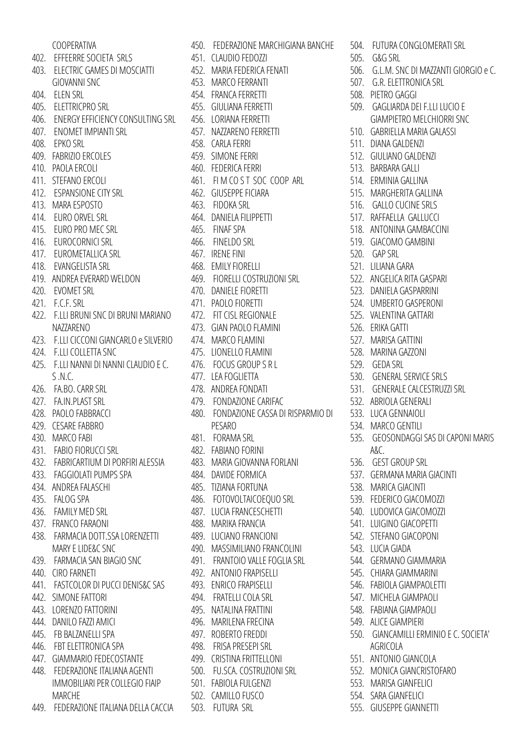| COOPERATIVA                             |
|-----------------------------------------|
| 402. EFFEERRE SOCIETA SRLS              |
| 403. ELECTRIC GAMES DI MOSCIATTI        |
| <b>GIOVANNI SNC</b>                     |
| 404. ELEN SRL                           |
| 405. ELETTRICPRO SRL                    |
| 406. ENERGY EFFICIENCY CONSULTING SRL   |
| 407. ENOMET IMPIANTI SRL                |
| 408. EPKO SRL                           |
| 409. FABRIZIO ERCOLES                   |
| 410. PAOLA ERCOLI                       |
| 411. STEFANO ERCOLI                     |
| 412. ESPANSIONE CITY SRL                |
| 413. MARA ESPOSTO                       |
| 414. EURO ORVEL SRL                     |
| 415. EURO PRO MEC SRL                   |
| 416. EUROCORNICI SRL                    |
| 417. EUROMETALLICA SRL                  |
| 418. EVANGELISTA SRL                    |
| 419. ANDREA EVERARD WELDON              |
| 420. EVOMET SRL                         |
| 421. F.C.F. SRL                         |
| 422. F.LLI BRUNI SNC DI BRUNI MARIANO   |
| NAZZARENO                               |
| 423. F.LLI CICCONI GIANCARLO e SILVERIO |
| 424. F.LLI COLLETTA SNC                 |
| 425. F.LLI NANNI DI NANNI CLAUDIO E C.  |
| S.N.C.                                  |
| 426. FA.BO. CARR SRL                    |
| 427. FA.IN.PLAST SRL                    |
| 428. PAOLO FABBRACCI                    |
| 429. CESARE FABBRO                      |
| 430. MARCO FABI                         |
| 431. FABIO FIORUCCI SRL                 |
| 432. FABRICARTIUM DI PORFIRI ALESSIA    |
| 433. FAGGIOLATI PUMPS SPA               |
| 434. ANDREA FALASCHI                    |
| 435. FALOG SPA                          |
| 436. FAMILY MED SRL                     |
| 437. FRANCO FARAONI                     |
| 438. FARMACIA DOTT.SSA LORENZETTI       |
| <b>MARY E LIDE&amp;C SNC</b>            |
| 439. FARMACIA SAN BIAGIO SNC            |
| 440. CIRO FARNETI                       |
| 441. FASTCOLOR DI PUCCI DENIS&C SAS     |
| 442. SIMONE FATTORI                     |
| 443. LORENZO FATTORINI                  |
| 444. DANILO FAZZI AMICI                 |
| 445. FB BALZANELLI SPA                  |
| 446. FBT ELETTRONICA SPA                |
| 447. GIAMMARIO FEDECOSTANTE             |
| 448. FEDERAZIONE ITALIANA AGENTI        |
| IMMOBILIARI PER COLLEGIO FIAIP          |
| <b>MARCHE</b>                           |
|                                         |
| 449. FEDERAZIONE ITALIANA DELLA CACCIA  |

450. FEDERAZIONE MARCHIGIANA BANCHE 451. CLAUDIO FEDOZZI 452. MARIA FEDERICA FENATI 453. MARCO FERRANTI 454. FRANCA FERRETTI 455. GIULIANA FERRETTI 456. LORIANA FERRETTI 457. NAZZARENO FERRETTI 458. CARLA FERRI 459. SIMONE FERRI 460. FEDERICA FERRI 461. FI M CO S T SOC COOP ARL 462. GIUSEPPE FICIARA 463. FIDOKA SRL 464. DANIELA FILIPPETTI 465. FINAF SPA 466. FINELDO SRL 467. IRENE FINI 468. EMILY FIORELLI 469. FIORELLI COSTRUZIONI SRL 470. DANIELE FIORETTI 471. PAOLO FIORETTI 472. FIT CISL REGIONALE 473. GIAN PAOLO FLAMINI 474. MARCO FLAMINI 475. LIONELLO FLAMINI 476. FOCUS GROUP S R L 477. LEA FOGLIETTA 478. ANDREA FONDATI 479. FONDAZIONE CARIFAC 480. FONDAZIONE CASSA DI RISPARMIO DI PESARO 481. FORAMA SRL 482. FABIANO FORINI 483. MARIA GIOVANNA FORLANI 484. DAVIDE FORMICA 485. TIZIANA FORTUNA 486. FOTOVOLTAICOEQUO SRL 487. LUCIA FRANCESCHETTI 488. MARIKA FRANCIA 489. LUCIANO FRANCIONI 490. MASSIMILIANO FRANCOLINI 491. FRANTOIO VALLE FOGLIA SRL 492. ANTONIO FRAPISELLI 493. ENRICO FRAPISELLI 494. FRATELLI COLA SRL 495. NATALINA FRATTINI 496. MARILENA FRECINA 497. ROBERTO FREDDI 498. FRISA PRESEPI SRL 499. CRISTINA FRITTELLONI 500. FU.SCA. COSTRUZIONI SRL 501. FABIOLA FULGENZI 502. CAMILLO FUSCO 503. FUTURA SRL

504. FUTURA CONGLOMERATI SRL 505. G&G SRL 506. G.L.M. SNC DI MAZZANTI GIORGIO e C. 507. G.R. ELETTRONICA SRL 508. PIETRO GAGGI 509. GAGLIARDA DEI F.LLI LUCIO E GIAMPIETRO MELCHIORRI SNC 510. GABRIELLA MARIA GALASSI 511. DIANA GALDENZI 512. GIULIANO GALDENZI 513. BARBARA GALLI 514. ERMINIA GALLINA 515. MARGHERITA GALLINA 516. GALLO CUCINE SRLS 517. RAFFAELLA GALLUCCI 518. ANTONINA GAMBACCINI 519. GIACOMO GAMBINI 520. GAP SRL 521. LILIANA GARA 522. ANGELICA RITA GASPARI 523. DANIELA GASPARRINI 524. UMBERTO GASPERONI 525. VALENTINA GATTARI 526. ERIKA GATTI 527. MARISA GATTINI 528. MARINA GAZZONI 529. GEDA SRL 530. GENERAL SERVICE SRLS 531. GENERALE CALCESTRUZZI SRL 532. ABRIOLA GENERALI 533. LUCA GENNAIOLI 534. MARCO GENTILI 535. GEOSONDAGGI SAS DI CAPONI MARIS A&C. 536. GEST GROUP SRL 537. GERMANA MARIA GIACINTI 538. MARICA GIACINTI 539. FEDERICO GIACOMOZZI 540. LUDOVICA GIACOMOZZI 541. LUIGINO GIACOPETTI 542. STEFANO GIACOPONI 543. LUCIA GIADA 544. GERMANO GIAMMARIA 545. CHIARA GIAMMARINI 546. FABIOLA GIAMPAOLETTI 547. MICHELA GIAMPAOLI 548. FABIANA GIAMPAOLI 549. ALICE GIAMPIERI 550. GIANCAMILLI ERMINIO E C. SOCIETA' AGRICOLA 551. ANTONIO GIANCOLA 552. MONICA GIANCRISTOFARO 553. MARISA GIANFELICI 554. SARA GIANFELICI 555. GIUSEPPE GIANNETTI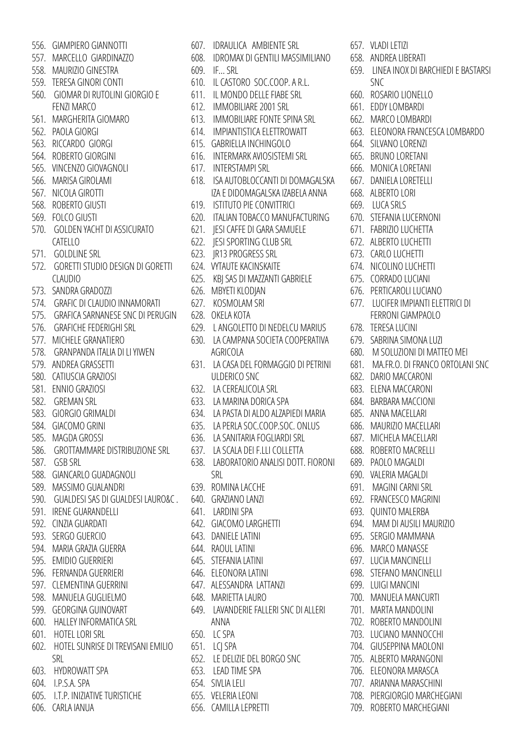- 556. GIAMPIERO GIANNOTTI
- 557. MARCELLO GIARDINAZZO
- 558. MAURIZIO GINESTRA
- 559. TERESA GINORI CONTI
- 560. GIOMAR DI RUTOLINI GIORGIO E FENZI MARCO
- 561. MARGHERITA GIOMARO
- 562. PAOLA GIORGI
- 563. RICCARDO GIORGI
- 564. ROBERTO GIORGINI
- 565. VINCENZO GIOVAGNOLI
- 566. MARISA GIROLAMI
- 567. NICOLA GIROTTI
- 568. ROBERTO GIUSTI
- 569. FOLCO GIUSTI
- 570. GOLDEN YACHT DI ASSICURATO CATELLO
- 571. GOLDLINE SRL
- 572. GORETTI STUDIO DESIGN DI GORETTI CLAUDIO
- 573. SANDRA GRADOZZI
- 574. GRAFIC DI CLAUDIO INNAMORATI
- 575. GRAFICA SARNANESE SNC DI PERUGIN
- 576. GRAFICHE FEDERIGHI SRL
- 577. MICHELE GRANATIERO
- 578. GRANPANDA ITALIA DI LI YIWEN
- 579. ANDREA GRASSETTI
- 580. CATIUSCIA GRAZIOSI
- 581. ENNIO GRAZIOSI
- 582. GREMAN SRL
- 583. GIORGIO GRIMALDI
- 584. GIACOMO GRINI
- 585. MAGDA GROSSI
- 586. GROTTAMMARE DISTRIBUZIONE SRL
- 587. GSB SRL
- 588. GIANCARLO GUADAGNOLI
- 589. MASSIMO GUALANDRI
- 590. GUALDESI SAS DI GUALDESI LAURO&C .
- 591. IRENE GUARANDELLI
- 592. CINZIA GUARDATI
- 593. SERGO GUERCIO
- 594. MARIA GRAZIA GUERRA
- 595. EMIDIO GUERRIERI
- 596. FERNANDA GUERRIERI
- 597. CLEMENTINA GUERRINI
- 598. MANUELA GUGLIELMO
- 599. GEORGINA GUINOVART
- 600. HALLEY INFORMATICA SRL
- 601. HOTEL LORI SRL 650. LC SPA
- 602. HOTEL SUNRISE DI TREVISANI EMILIO 651. LCJ SPA SRL
- 603. HYDROWATT SPA
- 604. I.P.S.A. SPA
- 605. I.T.P. INIZIATIVE TURISTICHE
- 606. CARLA IANUA
- 608. IDROMAX DI GENTILI MASSIMILIANO 609. IF… SRL 610. IL CASTORO SOC.COOP. A R.L. 611. IL MONDO DELLE FIABE SRL 612. IMMOBILIARE 2001 SRL 613. IMMOBILIARE FONTE SPINA SRL 614. IMPIANTISTICA ELETTROWATT 615. GABRIELLA INCHINGOLO 616. INTERMARK AVIOSISTEMI SRL 617. INTERSTAMPI SRL 618. ISA AUTOBLOCCANTI DI DOMAGALSKA IZA E DIDOMAGALSKA IZABELA ANNA 619. ISTITUTO PIE CONVITTRICI 620. ITALIAN TOBACCO MANUFACTURING 621. JESI CAFFE DI GARA SAMUELE 622. JESI SPORTING CLUB SRL 623. JR13 PROGRESS SRL 624. VYTAUTE KACINSKAITE 625. KBJ SAS DI MAZZANTI GABRIELE 626. MBYETI KLODJAN 627. KOSMOLAM SRl 628. OKELA KOTA 629. L ANGOLETTO DI NEDELCU MARIUS 630. LA CAMPANA SOCIETA COOPERATIVA AGRICOLA 631. LA CASA DEL FORMAGGIO DI PETRINI ULDERICO SNC 632. LA CEREALICOLA SRL 633. LA MARINA DORICA SPA 634. LA PASTA DI ALDO ALZAPIEDI MARIA 635. LA PERLA SOC.COOP.SOC. ONLUS 636. LA SANITARIA FOGLIARDI SRL 637. LA SCALA DEI F.LLI COLLETTA 638. LABORATORIO ANALISI DOTT. FIORONI SRL 639. ROMINA LACCHE 640. GRAZIANO LANZI 641. LARDINI SPA 642. GIACOMO LARGHETTI 643. DANIELE LATINI 644. RAOUL LATINI 645. STEFANIA LATINI 646. ELEONORA LATINI 647. ALESSANDRA LATTANZI 648. MARIETTA LAURO 649. LAVANDERIE FALLERI SNC DI ALLERI ANNA 652. LE DELIZIE DEL BORGO SNC 653. LEAD TIME SPA 654. SIVLIA LELI 655. VELERIA LEONI

656. CAMILLA LEPRETTI

607. IDRAULICA AMBIENTE SRL

- 657. VLADI LETIZI
- 658. ANDREA LIBERATI
- 659. LINEA INOX DI BARCHIEDI E BASTARSI SNC
- 660. ROSARIO LIONELLO
- 661. EDDY LOMBARDI
- 662. MARCO LOMBARDI
- 663. ELEONORA FRANCESCA LOMBARDO
- 664. SILVANO LORENZI
- 665. BRUNO LORETANI
- 666. MONICA LORETANI
- 667. DANIELA LORETELLI
- 668. ALBERTO LORI
- 669. LUCA SRLS
- 670. STEFANIA LUCERNONI
- 671. FABRIZIO LUCHETTA
- 672. ALBERTO LUCHETTI
- 673. CARLO LUCHETTI
- 
- 674. NICOLINO LUCHETTI
- 675. CORRADO LUCIANI
- 676. PERTICAROLI LUCIANO
- 677. LUCIFER IMPIANTI ELETTRICI DI FERRONI GIAMPAOLO
- 678. TERESA LUCINI
- 679. SABRINA SIMONA LUZI
- 680. M SOLUZIONI DI MATTEO MEI
- 681. MA.FR.O. DI FRANCO ORTOLANI SNC
- 682. DARIO MACCARONI
- 683. ELENA MACCARONI
- 684. BARBARA MACCIONI
- 685. ANNA MACELLARI
- 686. MAURIZIO MACELLARI
- 687. MICHELA MACELLARI
- 688. ROBERTO MACRELLI
- 689. PAOLO MAGALDI
- 690. VALERIA MAGALDI
- 691. MAGINI CARNI SRL
- 
- 692. FRANCESCO MAGRINI
- 693. QUINTO MALERBA
- 694. MAM DI AUSILI MAURIZIO
- 695. SERGIO MAMMANA
- 696. MARCO MANASSE
- 697. LUCIA MANCINELLI
- 698. STEFANO MANCINELLI
- 699. LUIGI MANCINI
- 700. MANUELA MANCURTI
- 701. MARTA MANDOLINI
- 702. ROBERTO MANDOLINI 703. LUCIANO MANNOCCHI

704. GIUSEPPINA MAOLONI 705. ALBERTO MARANGONI 706. ELEONORA MARASCA 707. ARIANNA MARASCHINI 708. PIERGIORGIO MARCHEGIANI 709. ROBERTO MARCHEGIANI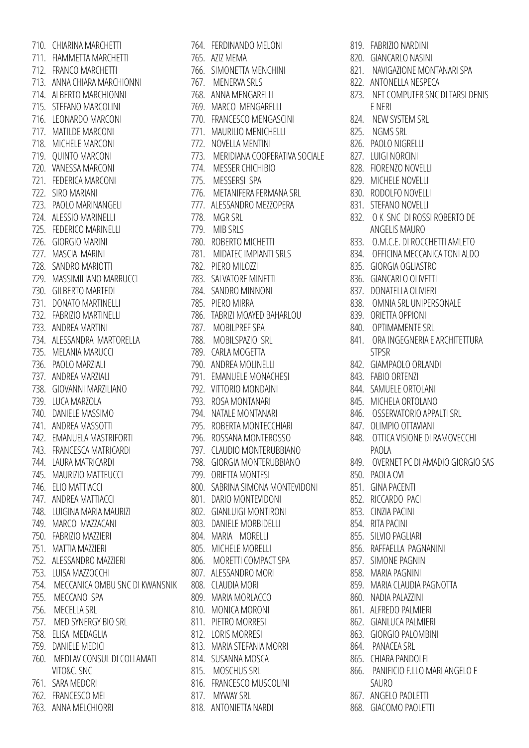710. CHIARINA MARCHETTI 711. FIAMMETTA MARCHETTI 712. FRANCO MARCHETTI 713. ANNA CHIARA MARCHIONNI 714. ALBERTO MARCHIONNI 715. STEFANO MARCOLINI 716. LEONARDO MARCONI 717. MATILDE MARCONI 718. MICHELE MARCONI 719. QUINTO MARCONI 720. VANESSA MARCONI 721. FEDERICA MARCONI 722. SIRO MARIANI 723. PAOLO MARINANGELI 724. ALESSIO MARINELLI 725. FEDERICO MARINELLI 726. GIORGIO MARINI 727. MASCIA MARINI 728. SANDRO MARIOTTI 729. MASSIMILIANO MARRUCCI 730. GILBERTO MARTEDI 731. DONATO MARTINELLI 732. FABRIZIO MARTINELLI 733. ANDREA MARTINI 734. ALESSANDRA MARTORELLA 735. MELANIA MARUCCI 736. PAOLO MARZIALI 737. ANDREA MARZIALI 738. GIOVANNI MARZILIANO 739. LUCA MARZOLA 740. DANIELE MASSIMO 741. ANDREA MASSOTTI 742. EMANUELA MASTRIFORTI 743. FRANCESCA MATRICARDI 744. LAURA MATRICARDI 745. MAURIZIO MATTEUCCI 746. ELIO MATTIACCI 747. ANDREA MATTIACCI 748. LUIGINA MARIA MAURIZI 749. MARCO MAZZACANI 750. FABRIZIO MAZZIERI 751. MATTIA MAZZIERI 752. ALESSANDRO MAZZIERI 753. LUISA MAZZOCCHI 754. MECCANICA OMBU SNC DI KWANSNIK 755. MECCANO SPA 756. MECELLA SRL 757. MED SYNERGY BIO SRL 758. ELISA MEDAGLIA 759. DANIELE MEDICI 760. MEDLAV CONSUL DI COLLAMATI VITO&C. SNC 761. SARA MEDORI 762. FRANCESCO MEI 763. ANNA MELCHIORRI

764. FERDINANDO MELONI 765. AZIZ MEMA 766. SIMONETTA MENCHINI 767. MENERVA SRLS 768. ANNA MENGARELLI 769. MARCO MENGARELLI 770. FRANCESCO MENGASCINI 771. MAURILIO MENICHELLI 772. NOVELLA MENTINI 773. MERIDIANA COOPERATIVA SOCIALE 774. MESSER CHICHIBIO 775. MESSERSI SPA 776. METANIFERA FERMANA SRL 777. ALESSANDRO MEZZOPERA 778. MGR SRL 779. MIB SRLS 780. ROBERTO MICHETTI 781. MIDATEC IMPIANTI SRLS 782. PIERO MILOZZI 783. SALVATORE MINETTI 784. SANDRO MINNONI 785. PIERO MIRRA 786. TABRIZI MOAYED BAHARLOU 787. MOBILPREF SPA 788. MOBILSPAZIO SRL 789. CARLA MOGETTA 790. ANDREA MOLINELLI 791. EMANUELE MONACHESI 792. VITTORIO MONDAINI 793. ROSA MONTANARI 794. NATALE MONTANARI 795. ROBERTA MONTECCHIARI 796. ROSSANA MONTEROSSO 797. CLAUDIO MONTERUBBIANO 798. GIORGIA MONTERUBBIANO 799. ORIETTA MONTESI 800. SABRINA SIMONA MONTEVIDONI 801. DARIO MONTEVIDONI 802. GIANLUIGI MONTIRONI 803. DANIELE MORBIDELLI 804. MARIA MORELLI 805. MICHELE MORELLI 806. MORETTI COMPACT SPA 807. ALESSANDRO MORI 808. CLAUDIA MORI 809. MARIA MORLACCO 810. MONICA MORONI 811. PIETRO MORRESI 812. LORIS MORRESI 813. MARIA STEFANIA MORRI 814. SUSANNA MOSCA 815. MOSCHUS SRL 816. FRANCESCO MUSCOLINI 817. MYWAY SRL 818. ANTONIETTA NARDI

819. FABRIZIO NARDINI

- 820. GIANCARLO NASINI
- 821. NAVIGAZIONE MONTANARI SPA
- 822. ANTONELLA NESPECA
- 823. NET COMPUTER SNC DI TARSI DENIS E NERI
- 824. NEW SYSTEM SRL
- 825. NGMS SRL
- 826. PAOLO NIGRELLI
- 827. LUIGI NORCINI
- 828. FIORENZO NOVELLI
- 829. MICHELE NOVELLI
- 830. RODOLFO NOVELLI
- 831. STEFANO NOVELLI
- 832. O K SNC DI ROSSI ROBERTO DE ANGELIS MAURO
- 833. O.M.C.E. DI ROCCHETTI AMLETO
- 834. OFFICINA MECCANICA TONI ALDO
- 835. GIORGIA OGLIASTRO
- 836. GIANCARLO OLIVETTI
- 837. DONATELLA OLIVIERI
- 838. OMNIA SRL UNIPERSONALE
- 839. ORIETTA OPPIONI
- 840. OPTIMAMENTE SRL
- 841. ORA INGEGNERIA E ARCHITETTURA STPSR
- 842. GIAMPAOLO ORLANDI
- 843. FABIO ORTENZI
- 844. SAMUELE ORTOLANI
- 845. MICHELA ORTOLANO
- 846. OSSERVATORIO APPALTI SRL
- 847. OLIMPIO OTTAVIANI
- 848. OTTICA VISIONE DI RAMOVECCHI PAOLA
- 849. OVERNET PC DI AMADIO GIORGIO SAS
- 850. PAOLA OVI
- 851. GINA PACENTI
- 852. RICCARDO PACI
- 853. CINZIA PACINI
- 854. RITA PACINI
- 855. SILVIO PAGLIARI
- 856. RAFFAELLA PAGNANINI
- 857. SIMONE PAGNIN
- 858. MARIA PAGNINI
- 859. MARIA CLAUDIA PAGNOTTA
- 860. NADIA PALAZZINI
- 861. ALFREDO PALMIERI
- 862. GIANLUCA PALMIERI
- 863. GIORGIO PALOMBINI
- 864. PANACEA SRL
- 865. CHIARA PANDOLFI
- 866. PANIFICIO F.LLO MARI ANGELO E SAURO
- 867. ANGELO PAOLETTI
- 868. GIACOMO PAOLETTI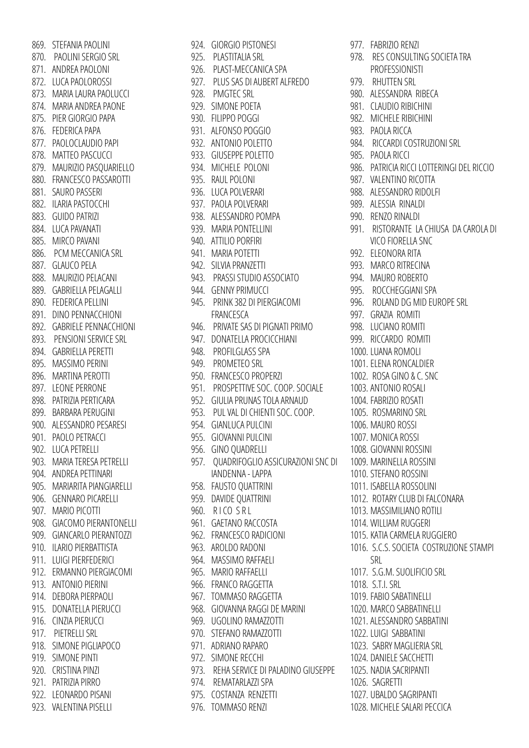869. STEFANIA PAOLINI 870. PAOLINI SERGIO SRL 871. ANDREA PAOLONI 872. LUCA PAOLOROSSI 873. MARIA LAURA PAOLUCCI 874. MARIA ANDREA PAONE 875. PIER GIORGIO PAPA 876. FEDERICA PAPA 877. PAOLOCLAUDIO PAPI 878. MATTEO PASCUCCI 879. MAURIZIO PASQUARIELLO 880. FRANCESCO PASSAROTTI 881. SAURO PASSERI 882. ILARIA PASTOCCHI 883. GUIDO PATRIZI 884. LUCA PAVANATI 885. MIRCO PAVANI 886. PCM MECCANICA SRL 887. GLAUCO PELA 888. MAURIZIO PELACANI 889. GABRIELLA PELAGALLI 890. FEDERICA PELLINI 891. DINO PENNACCHIONI 892. GABRIELE PENNACCHIONI 893. PENSIONI SERVICE SRL 894. GABRIELLA PERETTI 895. MASSIMO PERINI 896. MARTINA PEROTTI 897. LEONE PERRONE 898. PATRIZIA PERTICARA 899. BARBARA PERUGINI 900. ALESSANDRO PESARESI 901. PAOLO PETRACCI 902. LUCA PETRELLI 903. MARIA TERESA PETRELLI 904. ANDREA PETTINARI 905. MARIARITA PIANGIARELLI 906. GENNARO PICARELLI 907. MARIO PICOTTI 908. GIACOMO PIERANTONELLI 909. GIANCARLO PIERANTOZZI 910. ILARIO PIERBATTISTA 911. LUIGI PIERFEDERICI 912. ERMANNO PIERGIACOMI 913. ANTONIO PIERINI 914. DEBORA PIERPAOLI 915. DONATELLA PIERUCCI 916. CINZIA PIERUCCI 917. PIETRELLI SRL 918. SIMONE PIGLIAPOCO 919. SIMONE PINTI 920. CRISTINA PINZI 921. PATRIZIA PIRRO 922. LEONARDO PISANI 923. VALENTINA PISELLI

924. GIORGIO PISTONESI 925. PLASTITALIA SRL 926. PLAST-MECCANICA SPA 927. PLUS SAS DI AUBERT ALFREDO 928. PMGTEC SRL 929. SIMONE POETA 930. FILIPPO POGGI 931. ALFONSO POGGIO 932. ANTONIO POLETTO 933. GIUSEPPE POLETTO 934. MICHELE POLONI 935. RAUL POLONI 936. LUCA POLVERARI 937. PAOLA POLVERARI 938. ALESSANDRO POMPA 939. MARIA PONTELLINI 940. ATTILIO PORFIRI 941. MARIA POTETTI 942. SILVIA PRANZETTI 943. PRASSI STUDIO ASSOCIATO 944. GENNY PRIMUCCI 945. PRINK 382 DI PIERGIACOMI FRANCESCA 946. PRIVATE SAS DI PIGNATI PRIMO 947. DONATELLA PROCICCHIANI 948. PROFILGLASS SPA 949. PROMETEO SRL 950. FRANCESCO PROPERZI 951. PROSPETTIVE SOC. COOP. SOCIALE 952. GIULIA PRUNAS TOLA ARNAUD 953. PUL VAL DI CHIENTI SOC. COOP. 954. GIANLUCA PULCINI 955. GIOVANNI PULCINI 956. GINO QUADRELLI 957. QUADRIFOGLIO ASSICURAZIONI SNC DI IANDENNA - LAPPA 958. FAUSTO QUATTRINI 959. DAVIDE QUATTRINI 960. RICO SRL 961. GAETANO RACCOSTA 962. FRANCESCO RADICIONI 963. AROLDO RADONI 964. MASSIMO RAFFAELI 965. MARIO RAFFAELLI 966. FRANCO RAGGETTA 967. TOMMASO RAGGETTA 968. GIOVANNA RAGGI DE MARINI 969. UGOLINO RAMAZZOTTI 970. STEFANO RAMAZZOTTI 971. ADRIANO RAPARO 972. SIMONE RECCHI 973. REHA SERVICE DI PALADINO GIUSEPPE 974. REMATARLAZZI SPA 975. COSTANZA RENZETTI 976. TOMMASO RENZI

977. FABRIZIO RENZI 978. RES CONSULTING SOCIETA TRA PROFESSIONISTI 979. RHUTTEN SRL 980. ALESSANDRA RIBECA 981. CLAUDIO RIBICHINI 982. MICHELE RIBICHINI 983. PAOLA RICCA 984. RICCARDI COSTRUZIONI SRL 985. PAOLA RICCI 986. PATRICIA RICCI LOTTERINGI DEL RICCIO 987. VALENTINO RICOTTA 988. ALESSANDRO RIDOLFI 989. ALESSIA RINALDI 990. RENZO RINALDI 991. RISTORANTE LA CHIUSA DA CAROLA DI VICO FIORELLA SNC 992. ELEONORA RITA 993. MARCO RITRECINA 994. MAURO ROBERTO 995. ROCCHEGGIANI SPA 996. ROLAND DG MID EUROPE SRL 997. GRAZIA ROMITI 998. LUCIANO ROMITI 999. RICCARDO ROMITI 1000. LUANA ROMOLI 1001. ELENA RONCALDIER 1002. ROSA GINO & C. SNC 1003. ANTONIO ROSALI 1004. FABRIZIO ROSATI 1005. ROSMARINO SRL 1006. MAURO ROSSI 1007. MONICA ROSSI 1008. GIOVANNI ROSSINI 1009. MARINELLA ROSSINI 1010. STEFANO ROSSINI 1011. ISABELLA ROSSOLINI 1012. ROTARY CLUB DI FALCONARA 1013. MASSIMILIANO ROTILI 1014. WILLIAM RUGGERI 1015. KATIA CARMELA RUGGIERO 1016. S.C.S. SOCIETA COSTRUZIONE STAMPI SRL 1017. S.G.M. SUOLIFICIO SRL 1018. S.T.I. SRL 1019. FABIO SABATINELLI 1020. MARCO SABBATINELLI 1021. ALESSANDRO SABBATINI 1022. LUIGI SABBATINI 1023. SABRY MAGLIERIA SRL 1024. DANIELE SACCHETTI 1025. NADIA SACRIPANTI 1026. SAGRETTI 1027. UBALDO SAGRIPANTI 1028. MICHELE SALARI PECCICA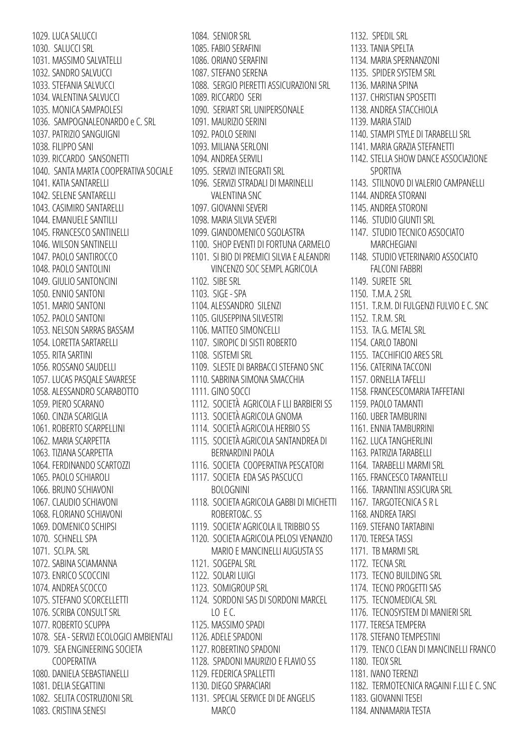1029. LUCA SALUCCI 1030. SALUCCI SRL 1031. MASSIMO SALVATELLI 1032. SANDRO SALVUCCI 1033. STEFANIA SALVUCCI 1034. VALENTINA SALVUCCI 1035. MONICA SAMPAOLESI 1036. SAMPOGNALEONARDO e C. SRL 1037. PATRIZIO SANGUIGNI 1038. FILIPPO SANI 1039. RICCARDO SANSONETTI 1040. SANTA MARTA COOPERATIVA SOCIALE 1041. KATIA SANTARELLI 1042. SELENE SANTARELLI 1043. CASIMIRO SANTARELLI 1044. EMANUELE SANTILLI 1045. FRANCESCO SANTINELLI 1046. WILSON SANTINELLI 1047. PAOLO SANTIROCCO 1048. PAOLO SANTOLINI 1049. GIULIO SANTONCINI 1050. ENNIO SANTONI 1051. MARIO SANTONI 1052. PAOLO SANTONI 1053. NELSON SARRAS BASSAM 1054. LORETTA SARTARELLI 1055. RITA SARTINI 1056. ROSSANO SAUDELLI 1057. LUCAS PASQALE SAVARESE 1058. ALESSANDRO SCARABOTTO 1059. PIERO SCARANO 1060. CINZIA SCARIGLIA 1061. ROBERTO SCARPELLINI 1062. MARIA SCARPETTA 1063. TIZIANA SCARPETTA 1064. FERDINANDO SCARTOZZI 1065. PAOLO SCHIAROLI 1066. BRUNO SCHIAVONI 1067. CLAUDIO SCHIAVONI 1068. FLORIANO SCHIAVONI 1069. DOMENICO SCHIPSI 1070. SCHNELL SPA 1071. SCI.PA. SRL 1072. SABINA SCIAMANNA 1073. ENRICO SCOCCINI 1074. ANDREA SCOCCO 1075. STEFANO SCORCELLETTI 1076. SCRIBA CONSULT SRL 1077. ROBERTO SCUPPA 1078. SEA - SERVIZI ECOLOGICI AMBIENTALI 1079. SEA ENGINEERING SOCIETA COOPERATIVA 1080. DANIELA SEBASTIANELLI 1081. DELIA SEGATTINI 1082. SELITA COSTRUZIONI SRL 1083. CRISTINA SENESI

1084. SENIOR SRL 1085. FABIO SERAFINI 1086. ORIANO SERAFINI 1087. STEFANO SERENA 1088. SERGIO PIERETTI ASSICURAZIONI SRL 1089. RICCARDO SERI 1090. SERIART SRL UNIPERSONALE 1091. MAURIZIO SERINI 1092. PAOLO SERINI 1093. MILIANA SERLONI 1094. ANDREA SERVILI 1095. SERVIZI INTEGRATI SRL 1096. SERVIZI STRADALI DI MARINELLI VALENTINA SNC 1097. GIOVANNI SEVERI 1098. MARIA SILVIA SEVERI 1099. GIANDOMENICO SGOLASTRA 1100. SHOP EVENTI DI FORTUNA CARMELO 1101. SI BIO DI PREMICI SILVIA E ALEANDRI VINCENZO SOC SEMPL AGRICOLA 1102. SIBE SRL 1103. SIGE - SPA 1104. ALESSANDRO SILENZI 1105. GIUSEPPINA SILVESTRI 1106. MATTEO SIMONCELLI 1107. SIROPIC DI SISTI ROBERTO 1108. SISTEMI SRL 1109. SLESTE DI BARBACCI STEFANO SNC 1110. SABRINA SIMONA SMACCHIA 1111. GINO SOCCI 1112. SOCIETÀ AGRICOLA F LLI BARBIERI SS 1113. SOCIETÀ AGRICOLA GNOMA 1114. SOCIETÀ AGRICOLA HERBIO SS 1115. SOCIETÀ AGRICOLA SANTANDREA DI BERNARDINI PAOLA 1116. SOCIETA COOPERATIVA PESCATORI 1117. SOCIETA EDA SAS PASCUCCI BOLOGNINI 1118. SOCIETA AGRICOLA GABBI DI MICHETTI ROBERTO&C. SS 1119. SOCIETA' AGRICOLA IL TRIBBIO SS 1120. SOCIETA AGRICOLA PELOSI VENANZIO MARIO E MANCINELLI AUGUSTA SS 1121. SOGEPAL SRL 1122. SOLARI LUIGI 1123. SOMIGROUP SRL 1124. SORDONI SAS DI SORDONI MARCEL  $LO$  E C. 1125. MASSIMO SPADI 1126. ADELE SPADONI 1127. ROBERTINO SPADONI 1128. SPADONI MAURIZIO E FLAVIO SS 1129. FEDERICA SPALLETTI 1130. DIEGO SPARACIARI 1131. SPECIAL SERVICE DI DE ANGELIS

MARCO

1132. SPEDIL SRL 1133. TANIA SPELTA 1134. MARIA SPERNANZONI 1135. SPIDER SYSTEM SRL 1136. MARINA SPINA 1137. CHRISTIAN SPOSETTI 1138. ANDREA STACCHIOLA 1139. MARIA STAID 1140. STAMPI STYLE DI TARABELLI SRL 1141. MARIA GRAZIA STEFANETTI 1142. STELLA SHOW DANCE ASSOCIAZIONE SPORTIVA 1143. STILNOVO DI VALERIO CAMPANELLI 1144. ANDREA STORANI 1145. ANDREA STORONI 1146. STUDIO GIUNTI SRL 1147. STUDIO TECNICO ASSOCIATO MARCHEGIANI 1148. STUDIO VETERINARIO ASSOCIATO FALCONI FABBRI 1149. SURETE SRL 1150. T.M.A. 2 SRL 1151. T.R.M. DI FULGENZI FULVIO E C. SNC 1152. T.R.M. SRL 1153. TA.G. METAL SRL 1154. CARLO TABONI 1155. TACCHIFICIO ARES SRL 1156. CATERINA TACCONI 1157. ORNELLA TAFELLI 1158. FRANCESCOMARIA TAFFETANI 1159. PAOLO TAMANTI 1160. UBER TAMBURINI 1161. ENNIA TAMBURRINI 1162. LUCA TANGHERLINI 1163. PATRIZIA TARABELLI 1164. TARABELLI MARMI SRL 1165. FRANCESCO TARANTELLI 1166. TARANTINI ASSICURA SRL 1167. TARGOTECNICA S R L 1168. ANDREA TARSI 1169. STEFANO TARTABINI 1170. TERESA TASSI 1171. TB MARMI SRL 1172. TECNA SRL 1173. TECNO BUILDING SRL 1174. TECNO PROGETTI SAS 1175. TECNOMEDICAL SRL 1176. TECNOSYSTEM DI MANIERI SRL 1177. TERESA TEMPERA 1178. STEFANO TEMPESTINI 1179. TENCO CLEAN DI MANCINELLI FRANCO 1180. TEOX SRL 1181. IVANO TERENZI 1182. TERMOTECNICA RAGAINI F.LLI E C. SNC 1183. GIOVANNI TESEI 1184. ANNAMARIA TESTA